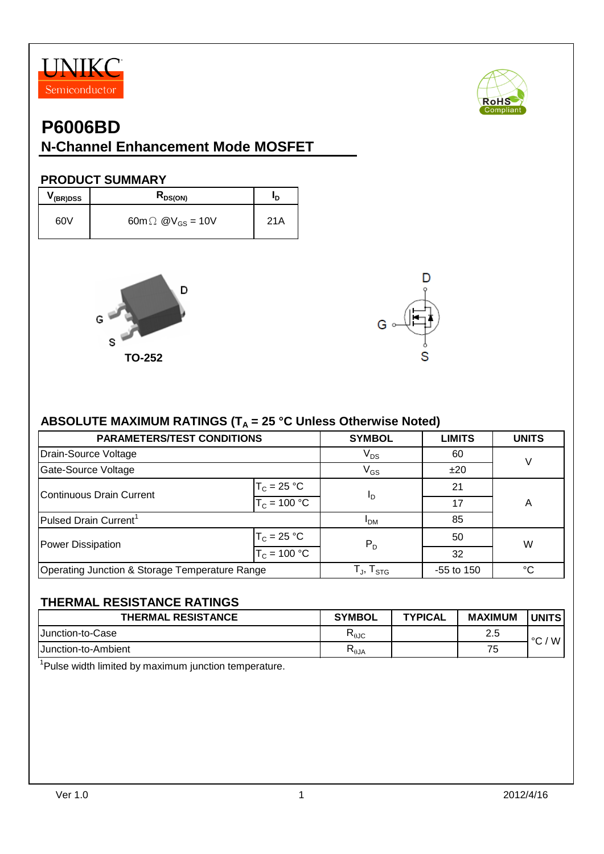



# **P6006BD**

### **N-Channel Enhancement Mode MOSFET**

#### **PRODUCT SUMMARY**

| V <sub>(BR)DSS</sub> | $R_{DS(ON)}$                        |      |
|----------------------|-------------------------------------|------|
| 60V                  | 60m $\Omega$ @V <sub>GS</sub> = 10V | 21 A |





# **ABSOLUTE MAXIMUM RATINGS (TA = 25 °C Unless Otherwise Noted)**

| <b>PARAMETERS/TEST CONDITIONS</b>              | <b>SYMBOL</b>                   | <b>LIMITS</b>  | <b>UNITS</b> |   |  |
|------------------------------------------------|---------------------------------|----------------|--------------|---|--|
| Drain-Source Voltage                           |                                 | $V_{DS}$       | 60           |   |  |
| Gate-Source Voltage                            | $V_{GS}$                        | ±20            |              |   |  |
| Continuous Drain Current                       | $T_c = 25 °C$                   |                | 21           | A |  |
|                                                | $T_c = 100 °C$                  | I <sub>D</sub> | 17           |   |  |
| Pulsed Drain Current <sup>1</sup>              |                                 | <b>PDM</b>     | 85           |   |  |
| Power Dissipation                              | $T_c = 25 °C$<br>$T_c = 100 °C$ | $P_D$          | 50           | W |  |
|                                                |                                 |                | 32           |   |  |
| Operating Junction & Storage Temperature Range | $T_{\sf J},\, T_{\sf STG}$      | $-55$ to 150   | $^{\circ}C$  |   |  |

#### **THERMAL RESISTANCE RATINGS**

| <b>THERMAL RESISTANCE</b>  | <b>SYMBOL</b>                         | <b>TYPICAL</b> | <b>MAXIMUM</b> | <b>'UNITS</b> |
|----------------------------|---------------------------------------|----------------|----------------|---------------|
| <b>IJunction-to-Case</b>   | Ւ <sub>θ</sub> JC                     |                | 2.5            | W<br>$\sim$   |
| <b>Junction-to-Ambient</b> | $\mathsf{R}_{\boldsymbol{\theta}}$ JA |                | 75             |               |

<sup>1</sup>Pulse width limited by maximum junction temperature.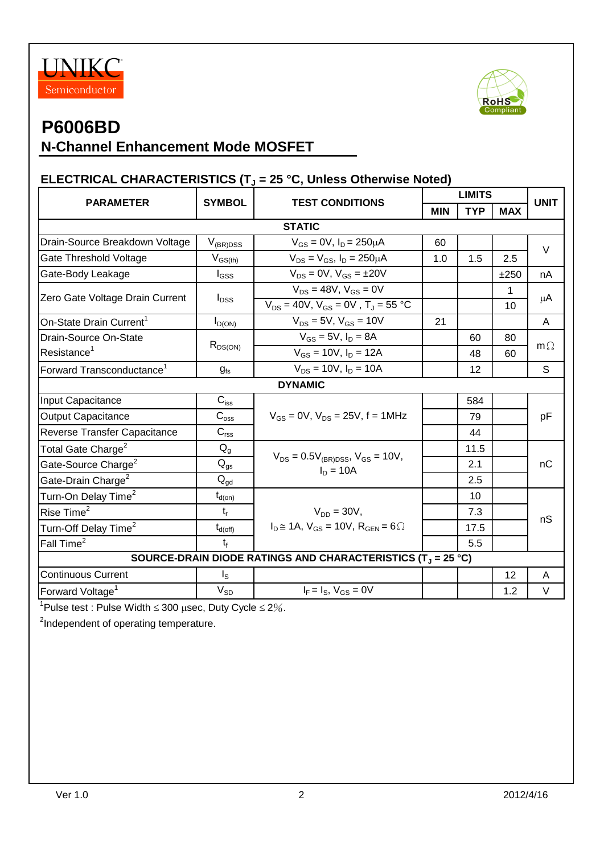



# **P6006BD**

### **N-Channel Enhancement Mode MOSFET**

#### **ELECTRICAL CHARACTERISTICS (T<sup>J</sup> = 25 °C, Unless Otherwise Noted)**

| <b>PARAMETER</b>                                                        | <b>SYMBOL</b>                          | <b>TEST CONDITIONS</b>                                        | <b>LIMITS</b> |            |            | <b>UNIT</b> |  |  |
|-------------------------------------------------------------------------|----------------------------------------|---------------------------------------------------------------|---------------|------------|------------|-------------|--|--|
|                                                                         |                                        |                                                               | <b>MIN</b>    | <b>TYP</b> | <b>MAX</b> |             |  |  |
| <b>STATIC</b>                                                           |                                        |                                                               |               |            |            |             |  |  |
| Drain-Source Breakdown Voltage                                          | $V_{(BR)DSS}$                          | $V_{GS} = 0V$ , $I_D = 250 \mu A$                             | 60            |            |            | $\vee$      |  |  |
| Gate Threshold Voltage                                                  | $V_{GS(th)}$                           | $V_{DS} = V_{GS}$ , $I_D = 250 \mu A$                         | 1.0           | 1.5        | 2.5        |             |  |  |
| Gate-Body Leakage                                                       | $I_{GSS}$                              | $V_{DS} = 0V$ , $V_{GS} = \pm 20V$                            |               |            | ±250       | nA          |  |  |
| Zero Gate Voltage Drain Current                                         | $I_{DSS}$                              | $V_{DS} = 48V$ , $V_{GS} = 0V$                                |               |            | 1          |             |  |  |
|                                                                         |                                        | $V_{DS} = 40V$ , $V_{GS} = 0V$ , $T_J = 55 °C$                | 10            |            |            | μA          |  |  |
| On-State Drain Current <sup>1</sup>                                     | $I_{D(ON)}$                            | $V_{DS} = 5V$ , $V_{GS} = 10V$                                | 21            |            |            | A           |  |  |
| Drain-Source On-State                                                   |                                        | $V_{GS} = 5V$ , $I_D = 8A$                                    |               | 60         | 80         |             |  |  |
| Resistance <sup>1</sup>                                                 | $R_{DS(ON)}$                           | $V_{GS}$ = 10V, $I_D$ = 12A                                   |               | 48         | 60         | $m\Omega$   |  |  |
| Forward Transconductance <sup>1</sup>                                   | $g_{fs}$                               | $V_{DS} = 10V$ , $I_D = 10A$                                  |               | 12         |            | S           |  |  |
|                                                                         |                                        | <b>DYNAMIC</b>                                                |               |            |            |             |  |  |
| Input Capacitance                                                       | $C_{\text{iss}}$                       |                                                               |               | 584        |            | pF          |  |  |
| <b>Output Capacitance</b>                                               | $C_{\rm oss}$                          | $V_{GS} = 0V$ , $V_{DS} = 25V$ , f = 1MHz                     |               | 79         |            |             |  |  |
| Reverse Transfer Capacitance                                            | $C_{\text{rss}}$                       |                                                               |               | 44         |            |             |  |  |
| Total Gate Charge <sup>2</sup>                                          | $Q_q$                                  |                                                               |               | 11.5       |            |             |  |  |
| Gate-Source Charge <sup>2</sup>                                         | $Q_{qs}$                               | $V_{DS} = 0.5V_{(BR)DSS}$ , $V_{GS} = 10V$ ,<br>$I_{D} = 10A$ |               | 2.1        |            | nC          |  |  |
| Gate-Drain Charge <sup>2</sup>                                          | $Q_{gd}$                               |                                                               |               | 2.5        |            |             |  |  |
| Turn-On Delay Time <sup>2</sup>                                         | $\mathsf{t}_{\mathsf{d}(\mathsf{on})}$ |                                                               |               | 10         |            |             |  |  |
| Rise Time <sup>2</sup>                                                  | $t_{r}$                                | $V_{DD} = 30V$ ,                                              |               | 7.3        |            | nS          |  |  |
| Turn-Off Delay Time <sup>2</sup>                                        | $t_{d(\text{off})}$                    | $I_D \cong 1A$ , $V_{GS} = 10V$ , $R_{GEN} = 6 \Omega$        |               | 17.5       |            |             |  |  |
| Fall Time <sup>2</sup>                                                  | $t_{\rm f}$                            |                                                               |               | 5.5        |            |             |  |  |
| SOURCE-DRAIN DIODE RATINGS AND CHARACTERISTICS (T <sub>J</sub> = 25 °C) |                                        |                                                               |               |            |            |             |  |  |
| <b>Continuous Current</b>                                               | $I_{\rm S}$                            |                                                               |               |            | 12         | A           |  |  |
| Forward Voltage <sup>1</sup>                                            | $\mathsf{V}_{\mathsf{SD}}$             | $I_F = I_S$ , $V_{GS} = 0V$                                   |               |            | 1.2        | V           |  |  |

<sup>1</sup>Pulse test : Pulse Width  $\leq 300$  usec, Duty Cycle  $\leq 2\%$ .

<sup>2</sup>Independent of operating temperature.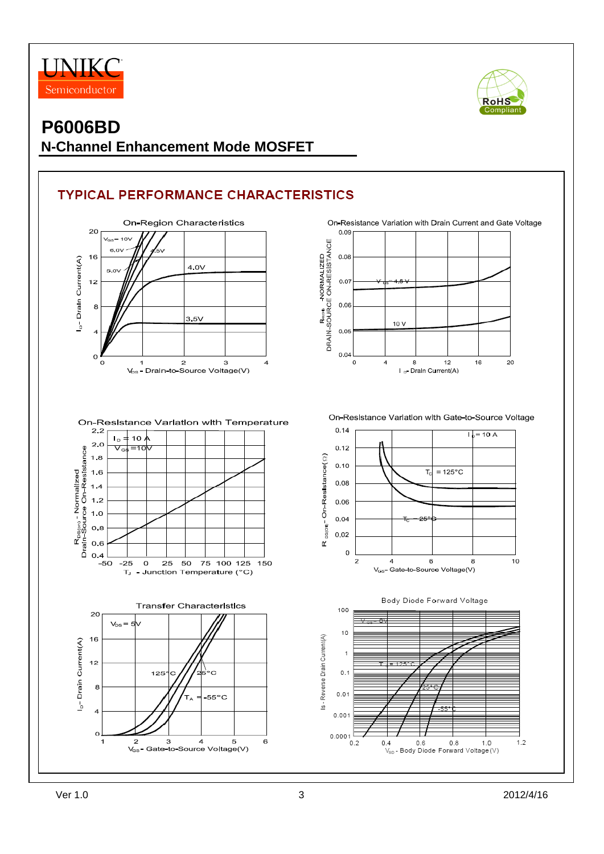



### **P6006BD N-Channel Enhancement Mode MOSFET**

#### **TYPICAL PERFORMANCE CHARACTERISTICS**



0.08  $4.5V$ 

On-Resistance Variation with Drain Current and Gate Voltage

 $0.09$ 



On-Resistance Variation with Temperature





On-Resistance Variation with Gate-to-Source Voltage





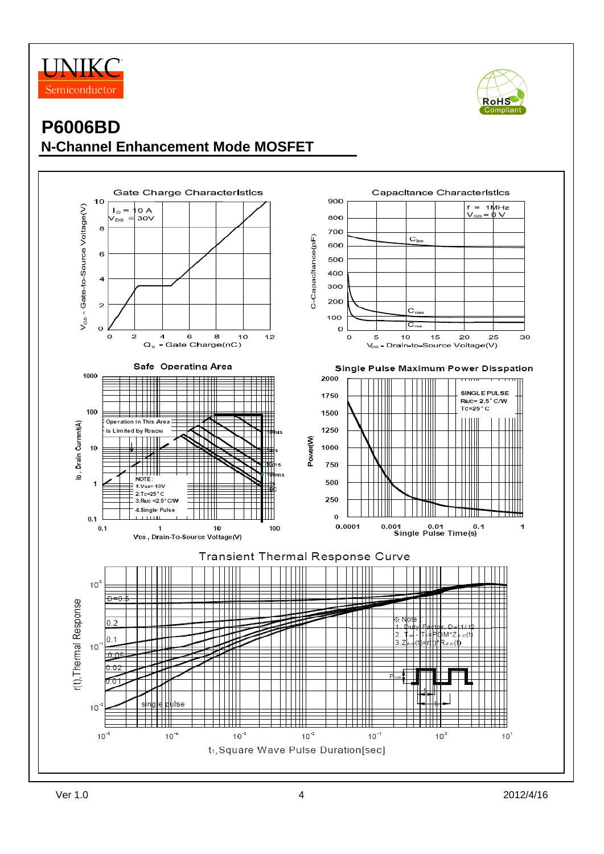



### **P6006BD N-Channel Enhancement Mode MOSFET**